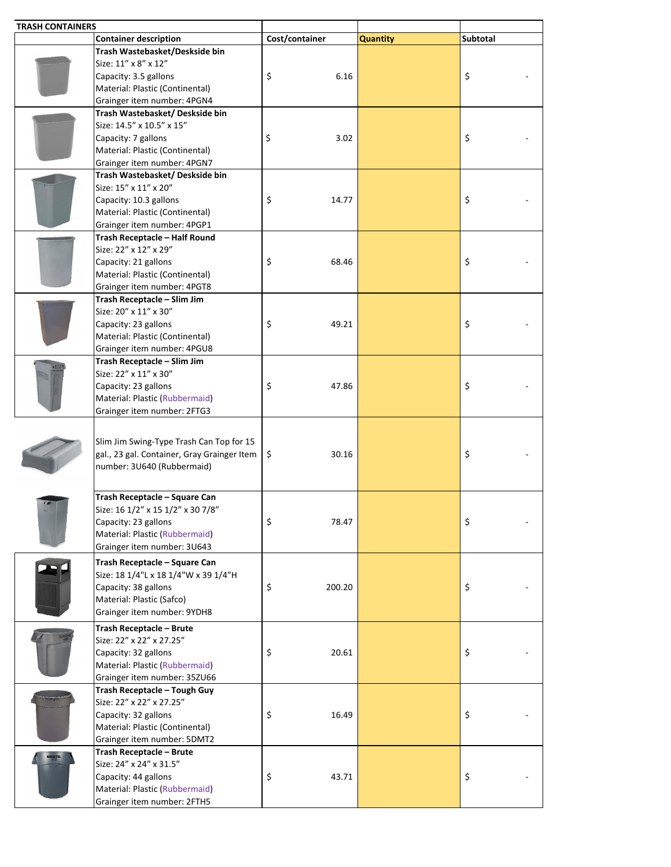| <b>TRASH CONTAINERS</b> |                                                        |                |                 |          |
|-------------------------|--------------------------------------------------------|----------------|-----------------|----------|
|                         | <b>Container description</b>                           | Cost/container | <b>Quantity</b> | Subtotal |
|                         | Trash Wastebasket/Deskside bin                         |                |                 |          |
|                         | Size: 11" x 8" x 12"                                   |                |                 |          |
|                         | Capacity: 3.5 gallons                                  | \$<br>6.16     |                 | \$       |
|                         | Material: Plastic (Continental)                        |                |                 |          |
|                         | Grainger item number: 4PGN4                            |                |                 |          |
|                         | Trash Wastebasket/ Deskside bin                        |                |                 |          |
|                         | Size: 14.5" x 10.5" x 15"                              |                |                 |          |
|                         | Capacity: 7 gallons                                    | \$<br>3.02     |                 | \$       |
|                         | Material: Plastic (Continental)                        |                |                 |          |
|                         | Grainger item number: 4PGN7                            |                |                 |          |
|                         | Trash Wastebasket/ Deskside bin                        |                |                 |          |
|                         | Size: 15" x 11" x 20"                                  |                |                 |          |
|                         | Capacity: 10.3 gallons                                 | \$<br>14.77    |                 | \$       |
|                         | Material: Plastic (Continental)                        |                |                 |          |
|                         | Grainger item number: 4PGP1                            |                |                 |          |
|                         | Trash Receptacle - Half Round                          |                |                 |          |
|                         | Size: 22" x 12" x 29"                                  |                |                 |          |
|                         | Capacity: 21 gallons                                   | \$<br>68.46    |                 | \$       |
|                         | Material: Plastic (Continental)                        |                |                 |          |
|                         | Grainger item number: 4PGT8                            |                |                 |          |
|                         | Trash Receptacle - Slim Jim                            |                |                 |          |
|                         | Size: 20" x 11" x 30"                                  |                |                 |          |
|                         | Capacity: 23 gallons                                   | \$<br>49.21    |                 | \$       |
|                         | Material: Plastic (Continental)                        |                |                 |          |
|                         | Grainger item number: 4PGU8                            |                |                 |          |
|                         | Trash Receptacle - Slim Jim                            |                |                 |          |
|                         | Size: 22" x 11" x 30"                                  |                |                 |          |
|                         |                                                        | \$<br>47.86    |                 |          |
|                         | Capacity: 23 gallons<br>Material: Plastic (Rubbermaid) |                |                 | \$       |
|                         |                                                        |                |                 |          |
|                         | Grainger item number: 2FTG3                            |                |                 |          |
|                         |                                                        |                |                 |          |
|                         | Slim Jim Swing-Type Trash Can Top for 15               |                |                 |          |
|                         | gal., 23 gal. Container, Gray Grainger Item            | \$<br>30.16    |                 | \$       |
|                         | number: 3U640 (Rubbermaid)                             |                |                 |          |
|                         |                                                        |                |                 |          |
|                         | Trash Receptacle - Square Can                          |                |                 |          |
|                         | Size: 16 1/2" x 15 1/2" x 30 7/8"                      |                |                 |          |
|                         | Capacity: 23 gallons                                   | \$<br>78.47    |                 | \$       |
|                         | Material: Plastic (Rubbermaid)                         |                |                 |          |
|                         | Grainger item number: 3U643                            |                |                 |          |
|                         |                                                        |                |                 |          |
|                         | Trash Receptacle - Square Can                          |                |                 |          |
|                         | Size: 18 1/4"L x 18 1/4"W x 39 1/4"H                   |                |                 |          |
|                         | Capacity: 38 gallons                                   | \$<br>200.20   |                 | \$       |
|                         | Material: Plastic (Safco)                              |                |                 |          |
|                         | Grainger item number: 9YDH8                            |                |                 |          |
|                         | Trash Receptacle - Brute                               |                |                 |          |
|                         | Size: 22" x 22" x 27.25"                               |                |                 |          |
|                         | Capacity: 32 gallons                                   | \$<br>20.61    |                 | \$       |
|                         | Material: Plastic (Rubbermaid)                         |                |                 |          |
|                         | Grainger item number: 35ZU66                           |                |                 |          |
|                         | Trash Receptacle - Tough Guy                           |                |                 |          |
|                         | Size: 22" x 22" x 27.25"                               |                |                 |          |
|                         | Capacity: 32 gallons                                   | \$<br>16.49    |                 | \$       |
|                         | Material: Plastic (Continental)                        |                |                 |          |
|                         | Grainger item number: 5DMT2                            |                |                 |          |
|                         | Trash Receptacle - Brute                               |                |                 |          |
|                         | Size: 24" x 24" x 31.5"                                |                |                 |          |
|                         | Capacity: 44 gallons                                   | \$<br>43.71    |                 | \$       |
|                         | Material: Plastic (Rubbermaid)                         |                |                 |          |
|                         | Grainger item number: 2FTH5                            |                |                 |          |
|                         |                                                        |                |                 |          |